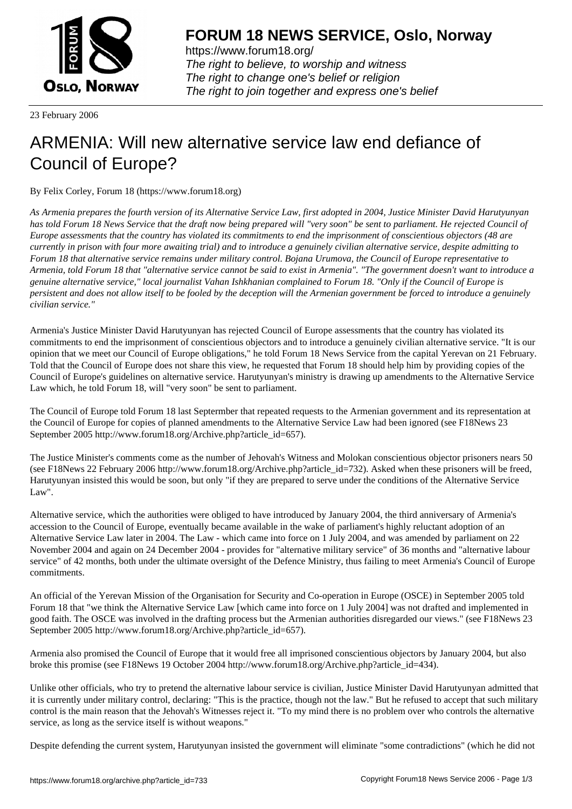

https://www.forum18.org/ The right to believe, to worship and witness The right to change one's belief or religion [The right to join together a](https://www.forum18.org/)nd express one's belief

23 February 2006

## [ARMENIA: Will](https://www.forum18.org) new alternative service law end defiance of Council of Europe?

By Felix Corley, Forum 18 (https://www.forum18.org)

*As Armenia prepares the fourth version of its Alternative Service Law, first adopted in 2004, Justice Minister David Harutyunyan has told Forum 18 News Service that the draft now being prepared will "very soon" be sent to parliament. He rejected Council of Europe assessments that the country has violated its commitments to end the imprisonment of conscientious objectors (48 are currently in prison with four more awaiting trial) and to introduce a genuinely civilian alternative service, despite admitting to Forum 18 that alternative service remains under military control. Bojana Urumova, the Council of Europe representative to Armenia, told Forum 18 that "alternative service cannot be said to exist in Armenia". "The government doesn't want to introduce a genuine alternative service," local journalist Vahan Ishkhanian complained to Forum 18. "Only if the Council of Europe is persistent and does not allow itself to be fooled by the deception will the Armenian government be forced to introduce a genuinely civilian service."*

Armenia's Justice Minister David Harutyunyan has rejected Council of Europe assessments that the country has violated its commitments to end the imprisonment of conscientious objectors and to introduce a genuinely civilian alternative service. "It is our opinion that we meet our Council of Europe obligations," he told Forum 18 News Service from the capital Yerevan on 21 February. Told that the Council of Europe does not share this view, he requested that Forum 18 should help him by providing copies of the Council of Europe's guidelines on alternative service. Harutyunyan's ministry is drawing up amendments to the Alternative Service Law which, he told Forum 18, will "very soon" be sent to parliament.

The Council of Europe told Forum 18 last Septermber that repeated requests to the Armenian government and its representation at the Council of Europe for copies of planned amendments to the Alternative Service Law had been ignored (see F18News 23 September 2005 http://www.forum18.org/Archive.php?article\_id=657).

The Justice Minister's comments come as the number of Jehovah's Witness and Molokan conscientious objector prisoners nears 50 (see F18News 22 February 2006 http://www.forum18.org/Archive.php?article\_id=732). Asked when these prisoners will be freed, Harutyunyan insisted this would be soon, but only "if they are prepared to serve under the conditions of the Alternative Service Law".

Alternative service, which the authorities were obliged to have introduced by January 2004, the third anniversary of Armenia's accession to the Council of Europe, eventually became available in the wake of parliament's highly reluctant adoption of an Alternative Service Law later in 2004. The Law - which came into force on 1 July 2004, and was amended by parliament on 22 November 2004 and again on 24 December 2004 - provides for "alternative military service" of 36 months and "alternative labour service" of 42 months, both under the ultimate oversight of the Defence Ministry, thus failing to meet Armenia's Council of Europe commitments.

An official of the Yerevan Mission of the Organisation for Security and Co-operation in Europe (OSCE) in September 2005 told Forum 18 that "we think the Alternative Service Law [which came into force on 1 July 2004] was not drafted and implemented in good faith. The OSCE was involved in the drafting process but the Armenian authorities disregarded our views." (see F18News 23 September 2005 http://www.forum18.org/Archive.php?article\_id=657).

Armenia also promised the Council of Europe that it would free all imprisoned conscientious objectors by January 2004, but also broke this promise (see F18News 19 October 2004 http://www.forum18.org/Archive.php?article\_id=434).

Unlike other officials, who try to pretend the alternative labour service is civilian, Justice Minister David Harutyunyan admitted that it is currently under military control, declaring: "This is the practice, though not the law." But he refused to accept that such military control is the main reason that the Jehovah's Witnesses reject it. "To my mind there is no problem over who controls the alternative service, as long as the service itself is without weapons."

Despite defending the current system, Harutyunyan insisted the government will eliminate "some contradictions" (which he did not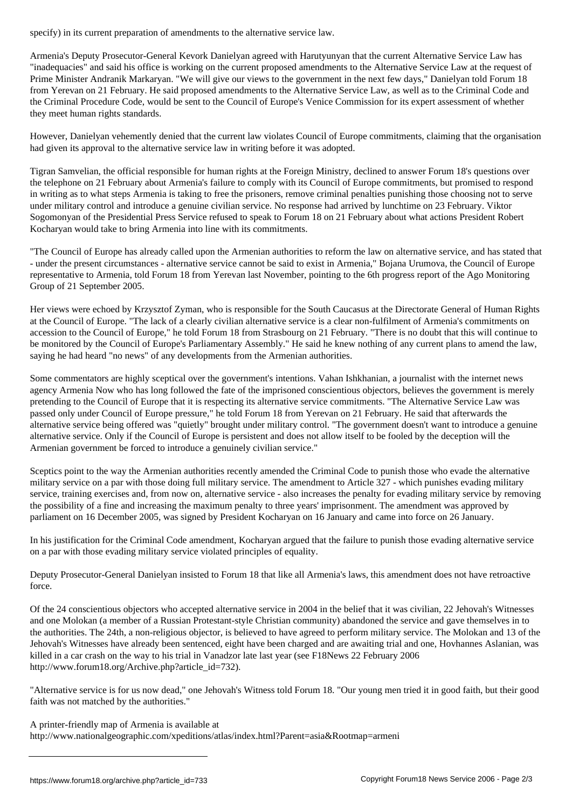Armenia's Deputy Prosecutor-General Kevork Danielyan agreed with Harutyunyan that the current Alternative Service Law has "inadequacies" and said his office is working on the current proposed amendments to the Alternative Service Law at the request of Prime Minister Andranik Markaryan. "We will give our views to the government in the next few days," Danielyan told Forum 18 from Yerevan on 21 February. He said proposed amendments to the Alternative Service Law, as well as to the Criminal Code and the Criminal Procedure Code, would be sent to the Council of Europe's Venice Commission for its expert assessment of whether they meet human rights standards.

However, Danielyan vehemently denied that the current law violates Council of Europe commitments, claiming that the organisation had given its approval to the alternative service law in writing before it was adopted.

Tigran Samvelian, the official responsible for human rights at the Foreign Ministry, declined to answer Forum 18's questions over the telephone on 21 February about Armenia's failure to comply with its Council of Europe commitments, but promised to respond in writing as to what steps Armenia is taking to free the prisoners, remove criminal penalties punishing those choosing not to serve under military control and introduce a genuine civilian service. No response had arrived by lunchtime on 23 February. Viktor Sogomonyan of the Presidential Press Service refused to speak to Forum 18 on 21 February about what actions President Robert Kocharyan would take to bring Armenia into line with its commitments.

"The Council of Europe has already called upon the Armenian authorities to reform the law on alternative service, and has stated that - under the present circumstances - alternative service cannot be said to exist in Armenia," Bojana Urumova, the Council of Europe representative to Armenia, told Forum 18 from Yerevan last November, pointing to the 6th progress report of the Ago Monitoring Group of 21 September 2005.

Her views were echoed by Krzysztof Zyman, who is responsible for the South Caucasus at the Directorate General of Human Rights at the Council of Europe. "The lack of a clearly civilian alternative service is a clear non-fulfilment of Armenia's commitments on accession to the Council of Europe," he told Forum 18 from Strasbourg on 21 February. "There is no doubt that this will continue to be monitored by the Council of Europe's Parliamentary Assembly." He said he knew nothing of any current plans to amend the law, saying he had heard "no news" of any developments from the Armenian authorities.

Some commentators are highly sceptical over the government's intentions. Vahan Ishkhanian, a journalist with the internet news agency Armenia Now who has long followed the fate of the imprisoned conscientious objectors, believes the government is merely pretending to the Council of Europe that it is respecting its alternative service commitments. "The Alternative Service Law was passed only under Council of Europe pressure," he told Forum 18 from Yerevan on 21 February. He said that afterwards the alternative service being offered was "quietly" brought under military control. "The government doesn't want to introduce a genuine alternative service. Only if the Council of Europe is persistent and does not allow itself to be fooled by the deception will the Armenian government be forced to introduce a genuinely civilian service."

Sceptics point to the way the Armenian authorities recently amended the Criminal Code to punish those who evade the alternative military service on a par with those doing full military service. The amendment to Article 327 - which punishes evading military service, training exercises and, from now on, alternative service - also increases the penalty for evading military service by removing the possibility of a fine and increasing the maximum penalty to three years' imprisonment. The amendment was approved by parliament on 16 December 2005, was signed by President Kocharyan on 16 January and came into force on 26 January.

In his justification for the Criminal Code amendment, Kocharyan argued that the failure to punish those evading alternative service on a par with those evading military service violated principles of equality.

Deputy Prosecutor-General Danielyan insisted to Forum 18 that like all Armenia's laws, this amendment does not have retroactive force.

Of the 24 conscientious objectors who accepted alternative service in 2004 in the belief that it was civilian, 22 Jehovah's Witnesses and one Molokan (a member of a Russian Protestant-style Christian community) abandoned the service and gave themselves in to the authorities. The 24th, a non-religious objector, is believed to have agreed to perform military service. The Molokan and 13 of the Jehovah's Witnesses have already been sentenced, eight have been charged and are awaiting trial and one, Hovhannes Aslanian, was killed in a car crash on the way to his trial in Vanadzor late last year (see F18News 22 February 2006 http://www.forum18.org/Archive.php?article\_id=732).

"Alternative service is for us now dead," one Jehovah's Witness told Forum 18. "Our young men tried it in good faith, but their good faith was not matched by the authorities."

A printer-friendly map of Armenia is available at

http://www.nationalgeographic.com/xpeditions/atlas/index.html?Parent=asia&Rootmap=armeni